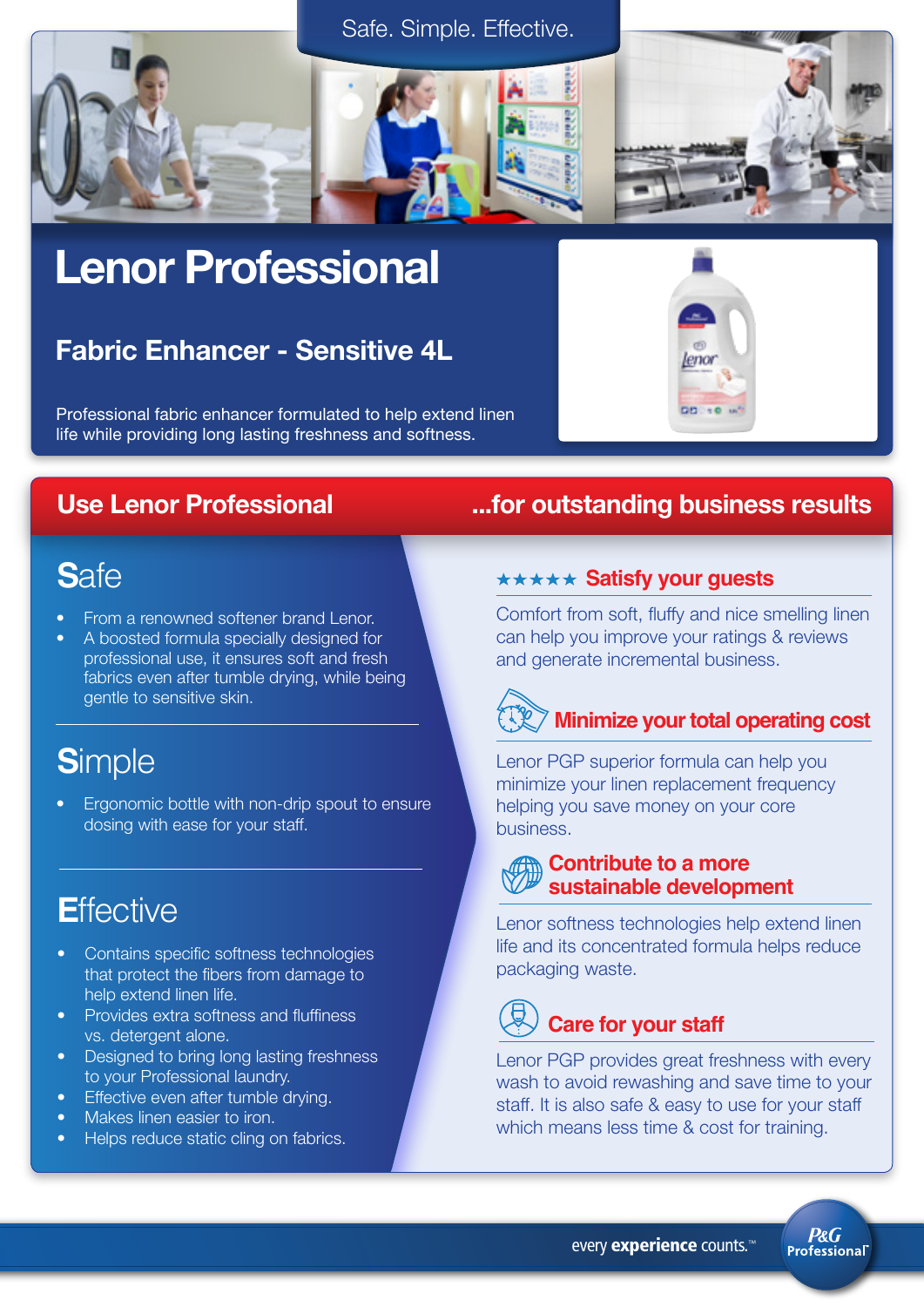



## Lenor Professional

### Fabric Enhancer - Sensitive 4L

Professional fabric enhancer formulated to help extend linen life while providing long lasting freshness and softness.

### **S**afe

- From a renowned softener brand Lenor.
- A boosted formula specially designed for professional use, it ensures soft and fresh fabrics even after tumble drying, while being gentle to sensitive skin.

## **S**imple

• Ergonomic bottle with non-drip spout to ensure dosing with ease for your staff.

### **E**ffective

- Contains specific softness technologies that protect the fibers from damage to help extend linen life.
- Provides extra softness and fluffiness vs. detergent alone.
- Designed to bring long lasting freshness to your Professional laundry.
- Effective even after tumble drving.
- Makes linen easier to iron.
- Helps reduce static cling on fabrics.

### Use Lenor Professional ...for outstanding business results

eno

#### **\*\*\*\*\* Satisfy your guests**

Comfort from soft, fluffy and nice smelling linen can help you improve your ratings & reviews and generate incremental business.

## **EXIMINIMIZE your total operating cost**

Lenor PGP superior formula can help you minimize your linen replacement frequency helping you save money on your core business.

#### **Contribute to a more sustainable development**

Lenor softness technologies help extend linen life and its concentrated formula helps reduce packaging waste.

## **Care for your staff**

Lenor PGP provides great freshness with every wash to avoid rewashing and save time to your staff. It is also safe & easy to use for your staff which means less time & cost for training.

> **P&G Professional**